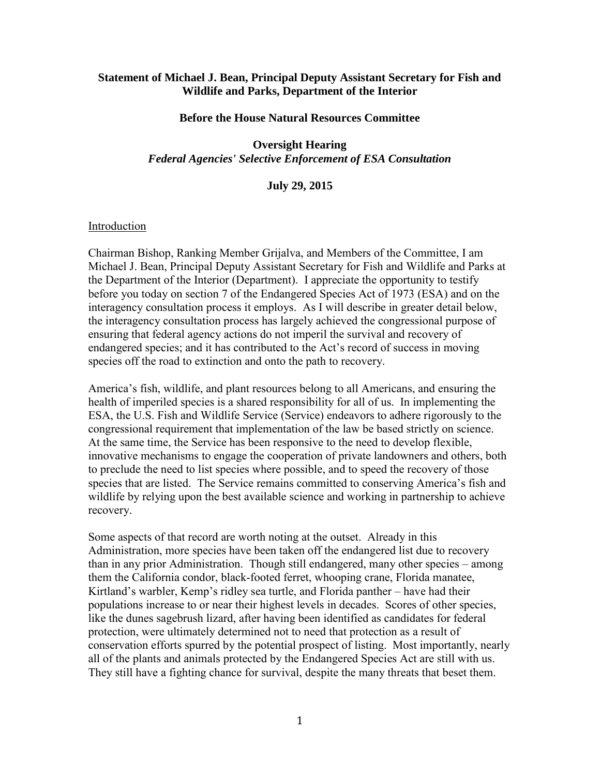#### **Statement of Michael J. Bean, Principal Deputy Assistant Secretary for Fish and Wildlife and Parks, Department of the Interior**

#### **Before the House Natural Resources Committee**

#### **Oversight Hearing**  *Federal Agencies' Selective Enforcement of ESA Consultation*

## **July 29, 2015**

#### **Introduction**

Chairman Bishop, Ranking Member Grijalva, and Members of the Committee, I am Michael J. Bean, Principal Deputy Assistant Secretary for Fish and Wildlife and Parks at the Department of the Interior (Department). I appreciate the opportunity to testify before you today on section 7 of the Endangered Species Act of 1973 (ESA) and on the interagency consultation process it employs. As I will describe in greater detail below, the interagency consultation process has largely achieved the congressional purpose of ensuring that federal agency actions do not imperil the survival and recovery of endangered species; and it has contributed to the Act's record of success in moving species off the road to extinction and onto the path to recovery.

America's fish, wildlife, and plant resources belong to all Americans, and ensuring the health of imperiled species is a shared responsibility for all of us. In implementing the ESA, the U.S. Fish and Wildlife Service (Service) endeavors to adhere rigorously to the congressional requirement that implementation of the law be based strictly on science. At the same time, the Service has been responsive to the need to develop flexible, innovative mechanisms to engage the cooperation of private landowners and others, both to preclude the need to list species where possible, and to speed the recovery of those species that are listed. The Service remains committed to conserving America's fish and wildlife by relying upon the best available science and working in partnership to achieve recovery.

Some aspects of that record are worth noting at the outset. Already in this Administration, more species have been taken off the endangered list due to recovery than in any prior Administration. Though still endangered, many other species – among them the California condor, black-footed ferret, whooping crane, Florida manatee, Kirtland's warbler, Kemp's ridley sea turtle, and Florida panther – have had their populations increase to or near their highest levels in decades. Scores of other species, like the dunes sagebrush lizard, after having been identified as candidates for federal protection, were ultimately determined not to need that protection as a result of conservation efforts spurred by the potential prospect of listing. Most importantly, nearly all of the plants and animals protected by the Endangered Species Act are still with us. They still have a fighting chance for survival, despite the many threats that beset them.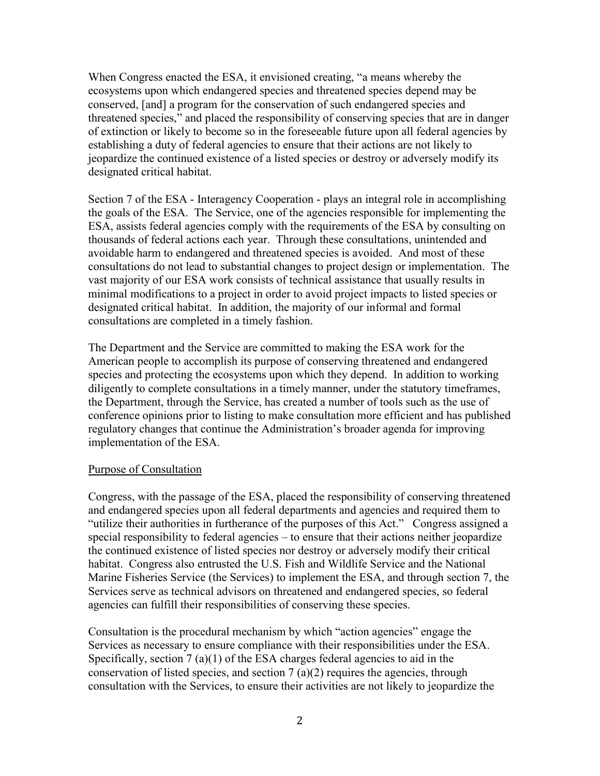When Congress enacted the ESA, it envisioned creating, "a means whereby the ecosystems upon which endangered species and threatened species depend may be conserved, [and] a program for the conservation of such endangered species and threatened species," and placed the responsibility of conserving species that are in danger of extinction or likely to become so in the foreseeable future upon all federal agencies by establishing a duty of federal agencies to ensure that their actions are not likely to jeopardize the continued existence of a listed species or destroy or adversely modify its designated critical habitat.

Section 7 of the ESA - Interagency Cooperation - plays an integral role in accomplishing the goals of the ESA. The Service, one of the agencies responsible for implementing the ESA, assists federal agencies comply with the requirements of the ESA by consulting on thousands of federal actions each year. Through these consultations, unintended and avoidable harm to endangered and threatened species is avoided. And most of these consultations do not lead to substantial changes to project design or implementation. The vast majority of our ESA work consists of technical assistance that usually results in minimal modifications to a project in order to avoid project impacts to listed species or designated critical habitat. In addition, the majority of our informal and formal consultations are completed in a timely fashion.

The Department and the Service are committed to making the ESA work for the American people to accomplish its purpose of conserving threatened and endangered species and protecting the ecosystems upon which they depend. In addition to working diligently to complete consultations in a timely manner, under the statutory timeframes, the Department, through the Service, has created a number of tools such as the use of conference opinions prior to listing to make consultation more efficient and has published regulatory changes that continue the Administration's broader agenda for improving implementation of the ESA.

### Purpose of Consultation

Congress, with the passage of the ESA, placed the responsibility of conserving threatened and endangered species upon all federal departments and agencies and required them to "utilize their authorities in furtherance of the purposes of this Act." Congress assigned a special responsibility to federal agencies – to ensure that their actions neither jeopardize the continued existence of listed species nor destroy or adversely modify their critical habitat. Congress also entrusted the U.S. Fish and Wildlife Service and the National Marine Fisheries Service (the Services) to implement the ESA, and through section 7, the Services serve as technical advisors on threatened and endangered species, so federal agencies can fulfill their responsibilities of conserving these species.

Consultation is the procedural mechanism by which "action agencies" engage the Services as necessary to ensure compliance with their responsibilities under the ESA. Specifically, section  $7(a)(1)$  of the ESA charges federal agencies to aid in the conservation of listed species, and section 7 (a)(2) requires the agencies, through consultation with the Services, to ensure their activities are not likely to jeopardize the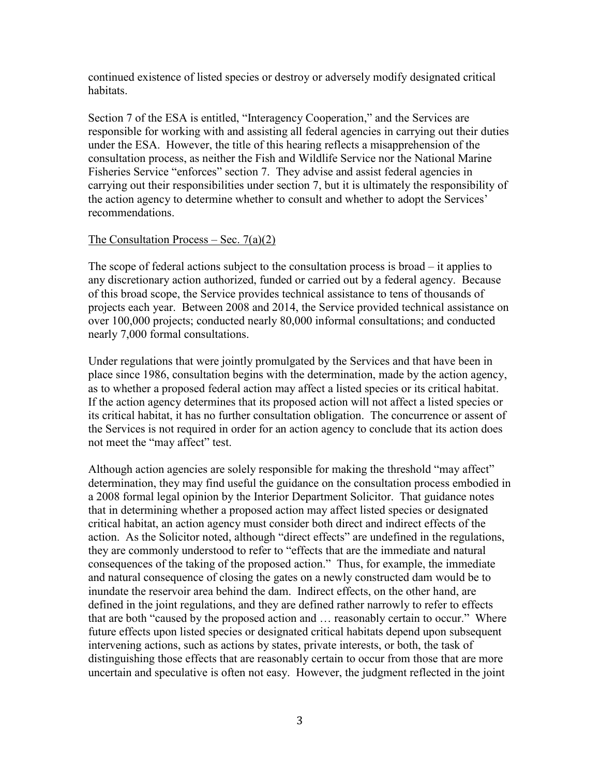continued existence of listed species or destroy or adversely modify designated critical habitats.

Section 7 of the ESA is entitled, "Interagency Cooperation," and the Services are responsible for working with and assisting all federal agencies in carrying out their duties under the ESA. However, the title of this hearing reflects a misapprehension of the consultation process, as neither the Fish and Wildlife Service nor the National Marine Fisheries Service "enforces" section 7. They advise and assist federal agencies in carrying out their responsibilities under section 7, but it is ultimately the responsibility of the action agency to determine whether to consult and whether to adopt the Services' recommendations.

### The Consultation Process – Sec.  $7(a)(2)$

The scope of federal actions subject to the consultation process is broad – it applies to any discretionary action authorized, funded or carried out by a federal agency. Because of this broad scope, the Service provides technical assistance to tens of thousands of projects each year. Between 2008 and 2014, the Service provided technical assistance on over 100,000 projects; conducted nearly 80,000 informal consultations; and conducted nearly 7,000 formal consultations.

Under regulations that were jointly promulgated by the Services and that have been in place since 1986, consultation begins with the determination, made by the action agency, as to whether a proposed federal action may affect a listed species or its critical habitat. If the action agency determines that its proposed action will not affect a listed species or its critical habitat, it has no further consultation obligation. The concurrence or assent of the Services is not required in order for an action agency to conclude that its action does not meet the "may affect" test.

Although action agencies are solely responsible for making the threshold "may affect" determination, they may find useful the guidance on the consultation process embodied in a 2008 formal legal opinion by the Interior Department Solicitor. That guidance notes that in determining whether a proposed action may affect listed species or designated critical habitat, an action agency must consider both direct and indirect effects of the action. As the Solicitor noted, although "direct effects" are undefined in the regulations, they are commonly understood to refer to "effects that are the immediate and natural consequences of the taking of the proposed action." Thus, for example, the immediate and natural consequence of closing the gates on a newly constructed dam would be to inundate the reservoir area behind the dam. Indirect effects, on the other hand, are defined in the joint regulations, and they are defined rather narrowly to refer to effects that are both "caused by the proposed action and … reasonably certain to occur." Where future effects upon listed species or designated critical habitats depend upon subsequent intervening actions, such as actions by states, private interests, or both, the task of distinguishing those effects that are reasonably certain to occur from those that are more uncertain and speculative is often not easy. However, the judgment reflected in the joint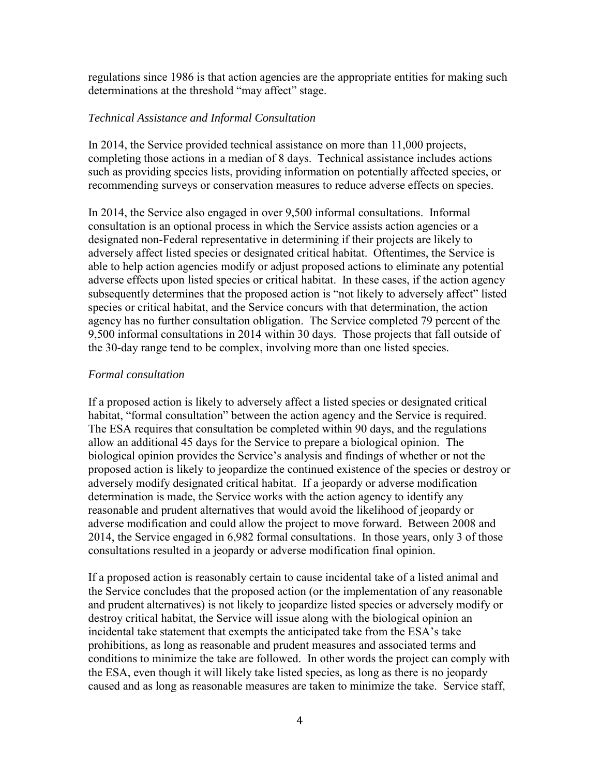regulations since 1986 is that action agencies are the appropriate entities for making such determinations at the threshold "may affect" stage.

## *Technical Assistance and Informal Consultation*

In 2014, the Service provided technical assistance on more than 11,000 projects, completing those actions in a median of 8 days. Technical assistance includes actions such as providing species lists, providing information on potentially affected species, or recommending surveys or conservation measures to reduce adverse effects on species.

In 2014, the Service also engaged in over 9,500 informal consultations. Informal consultation is an optional process in which the Service assists action agencies or a designated non-Federal representative in determining if their projects are likely to adversely affect listed species or designated critical habitat. Oftentimes, the Service is able to help action agencies modify or adjust proposed actions to eliminate any potential adverse effects upon listed species or critical habitat. In these cases, if the action agency subsequently determines that the proposed action is "not likely to adversely affect" listed species or critical habitat, and the Service concurs with that determination, the action agency has no further consultation obligation. The Service completed 79 percent of the 9,500 informal consultations in 2014 within 30 days. Those projects that fall outside of the 30-day range tend to be complex, involving more than one listed species.

### *Formal consultation*

If a proposed action is likely to adversely affect a listed species or designated critical habitat, "formal consultation" between the action agency and the Service is required. The ESA requires that consultation be completed within 90 days, and the regulations allow an additional 45 days for the Service to prepare a biological opinion. The biological opinion provides the Service's analysis and findings of whether or not the proposed action is likely to jeopardize the continued existence of the species or destroy or adversely modify designated critical habitat. If a jeopardy or adverse modification determination is made, the Service works with the action agency to identify any reasonable and prudent alternatives that would avoid the likelihood of jeopardy or adverse modification and could allow the project to move forward. Between 2008 and 2014, the Service engaged in 6,982 formal consultations. In those years, only 3 of those consultations resulted in a jeopardy or adverse modification final opinion.

If a proposed action is reasonably certain to cause incidental take of a listed animal and the Service concludes that the proposed action (or the implementation of any reasonable and prudent alternatives) is not likely to jeopardize listed species or adversely modify or destroy critical habitat, the Service will issue along with the biological opinion an incidental take statement that exempts the anticipated take from the ESA's take prohibitions, as long as reasonable and prudent measures and associated terms and conditions to minimize the take are followed. In other words the project can comply with the ESA, even though it will likely take listed species, as long as there is no jeopardy caused and as long as reasonable measures are taken to minimize the take. Service staff,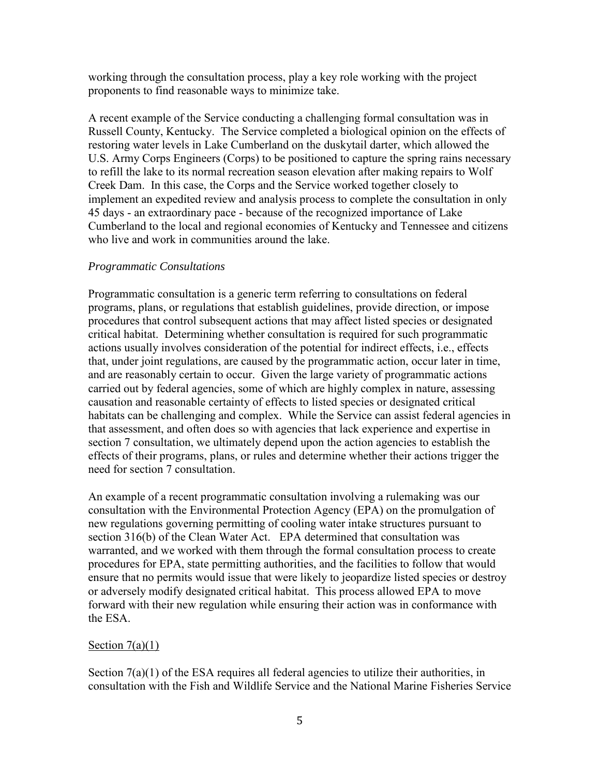working through the consultation process, play a key role working with the project proponents to find reasonable ways to minimize take.

A recent example of the Service conducting a challenging formal consultation was in Russell County, Kentucky. The Service completed a biological opinion on the effects of restoring water levels in Lake Cumberland on the duskytail darter, which allowed the U.S. Army Corps Engineers (Corps) to be positioned to capture the spring rains necessary to refill the lake to its normal recreation season elevation after making repairs to Wolf Creek Dam. In this case, the Corps and the Service worked together closely to implement an expedited review and analysis process to complete the consultation in only 45 days - an extraordinary pace - because of the recognized importance of Lake Cumberland to the local and regional economies of Kentucky and Tennessee and citizens who live and work in communities around the lake.

## *Programmatic Consultations*

Programmatic consultation is a generic term referring to consultations on federal programs, plans, or regulations that establish guidelines, provide direction, or impose procedures that control subsequent actions that may affect listed species or designated critical habitat. Determining whether consultation is required for such programmatic actions usually involves consideration of the potential for indirect effects, i.e., effects that, under joint regulations, are caused by the programmatic action, occur later in time, and are reasonably certain to occur. Given the large variety of programmatic actions carried out by federal agencies, some of which are highly complex in nature, assessing causation and reasonable certainty of effects to listed species or designated critical habitats can be challenging and complex. While the Service can assist federal agencies in that assessment, and often does so with agencies that lack experience and expertise in section 7 consultation, we ultimately depend upon the action agencies to establish the effects of their programs, plans, or rules and determine whether their actions trigger the need for section 7 consultation.

An example of a recent programmatic consultation involving a rulemaking was our consultation with the Environmental Protection Agency (EPA) on the promulgation of new regulations governing permitting of cooling water intake structures pursuant to section 316(b) of the Clean Water Act. EPA determined that consultation was warranted, and we worked with them through the formal consultation process to create procedures for EPA, state permitting authorities, and the facilities to follow that would ensure that no permits would issue that were likely to jeopardize listed species or destroy or adversely modify designated critical habitat. This process allowed EPA to move forward with their new regulation while ensuring their action was in conformance with the ESA.

### Section  $7(a)(1)$

Section  $7(a)(1)$  of the ESA requires all federal agencies to utilize their authorities, in consultation with the Fish and Wildlife Service and the National Marine Fisheries Service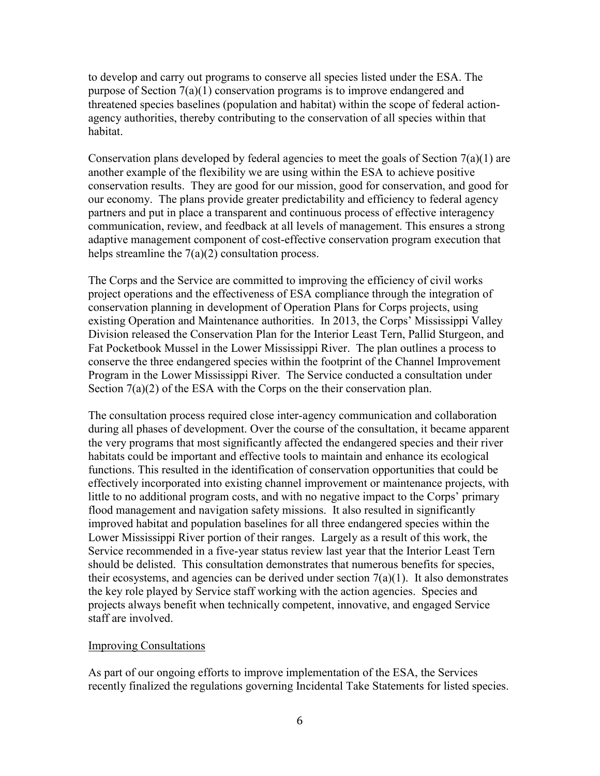to develop and carry out programs to conserve all species listed under the ESA. The purpose of Section 7(a)(1) conservation programs is to improve endangered and threatened species baselines (population and habitat) within the scope of federal actionagency authorities, thereby contributing to the conservation of all species within that habitat.

Conservation plans developed by federal agencies to meet the goals of Section  $7(a)(1)$  are another example of the flexibility we are using within the ESA to achieve positive conservation results. They are good for our mission, good for conservation, and good for our economy. The plans provide greater predictability and efficiency to federal agency partners and put in place a transparent and continuous process of effective interagency communication, review, and feedback at all levels of management. This ensures a strong adaptive management component of cost-effective conservation program execution that helps streamline the  $7(a)(2)$  consultation process.

The Corps and the Service are committed to improving the efficiency of civil works project operations and the effectiveness of ESA compliance through the integration of conservation planning in development of Operation Plans for Corps projects, using existing Operation and Maintenance authorities. In 2013, the Corps' Mississippi Valley Division released the Conservation Plan for the Interior Least Tern, Pallid Sturgeon, and Fat Pocketbook Mussel in the Lower Mississippi River. The plan outlines a process to conserve the three endangered species within the footprint of the Channel Improvement Program in the Lower Mississippi River. The Service conducted a consultation under Section 7(a)(2) of the ESA with the Corps on the their conservation plan.

The consultation process required close inter-agency communication and collaboration during all phases of development. Over the course of the consultation, it became apparent the very programs that most significantly affected the endangered species and their river habitats could be important and effective tools to maintain and enhance its ecological functions. This resulted in the identification of conservation opportunities that could be effectively incorporated into existing channel improvement or maintenance projects, with little to no additional program costs, and with no negative impact to the Corps' primary flood management and navigation safety missions. It also resulted in significantly improved habitat and population baselines for all three endangered species within the Lower Mississippi River portion of their ranges. Largely as a result of this work, the Service recommended in a five-year status review last year that the Interior Least Tern should be delisted. This consultation demonstrates that numerous benefits for species, their ecosystems, and agencies can be derived under section  $7(a)(1)$ . It also demonstrates the key role played by Service staff working with the action agencies. Species and projects always benefit when technically competent, innovative, and engaged Service staff are involved.

### Improving Consultations

As part of our ongoing efforts to improve implementation of the ESA, the Services recently finalized the regulations governing Incidental Take Statements for listed species.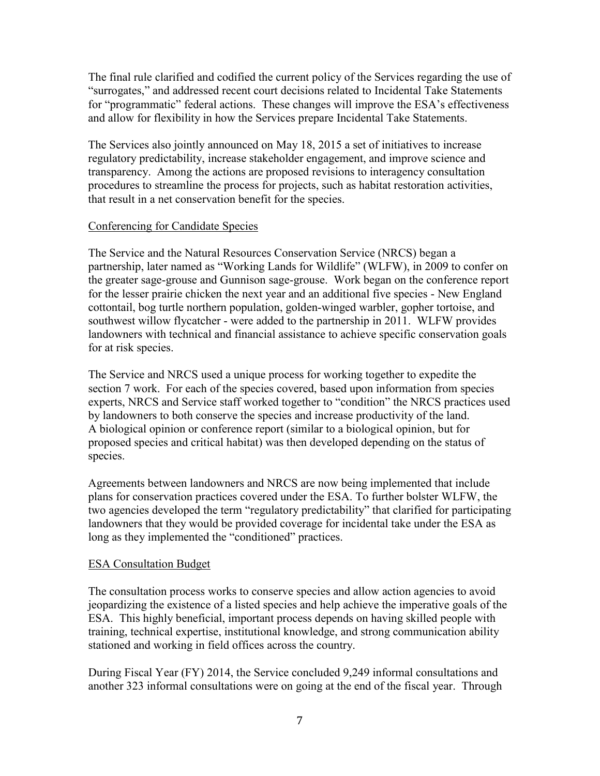The final rule clarified and codified the current policy of the Services regarding the use of "surrogates," and addressed recent court decisions related to Incidental Take Statements for "programmatic" federal actions. These changes will improve the ESA's effectiveness and allow for flexibility in how the Services prepare Incidental Take Statements.

The Services also jointly announced on May 18, 2015 a set of initiatives to increase regulatory predictability, increase stakeholder engagement, and improve science and transparency. Among the actions are proposed revisions to interagency consultation procedures to streamline the process for projects, such as habitat restoration activities, that result in a net conservation benefit for the species.

## Conferencing for Candidate Species

The Service and the Natural Resources Conservation Service (NRCS) began a partnership, later named as "Working Lands for Wildlife" (WLFW), in 2009 to confer on the greater sage-grouse and Gunnison sage-grouse. Work began on the conference report for the lesser prairie chicken the next year and an additional five species - New England cottontail, bog turtle northern population, golden-winged warbler, gopher tortoise, and southwest willow flycatcher - were added to the partnership in 2011. WLFW provides landowners with technical and financial assistance to achieve specific conservation goals for at risk species.

The Service and NRCS used a unique process for working together to expedite the section 7 work. For each of the species covered, based upon information from species experts, NRCS and Service staff worked together to "condition" the NRCS practices used by landowners to both conserve the species and increase productivity of the land. A biological opinion or conference report (similar to a biological opinion, but for proposed species and critical habitat) was then developed depending on the status of species.

Agreements between landowners and NRCS are now being implemented that include plans for conservation practices covered under the ESA. To further bolster WLFW, the two agencies developed the term "regulatory predictability" that clarified for participating landowners that they would be provided coverage for incidental take under the ESA as long as they implemented the "conditioned" practices.

# ESA Consultation Budget

The consultation process works to conserve species and allow action agencies to avoid jeopardizing the existence of a listed species and help achieve the imperative goals of the ESA. This highly beneficial, important process depends on having skilled people with training, technical expertise, institutional knowledge, and strong communication ability stationed and working in field offices across the country.

During Fiscal Year (FY) 2014, the Service concluded 9,249 informal consultations and another 323 informal consultations were on going at the end of the fiscal year. Through